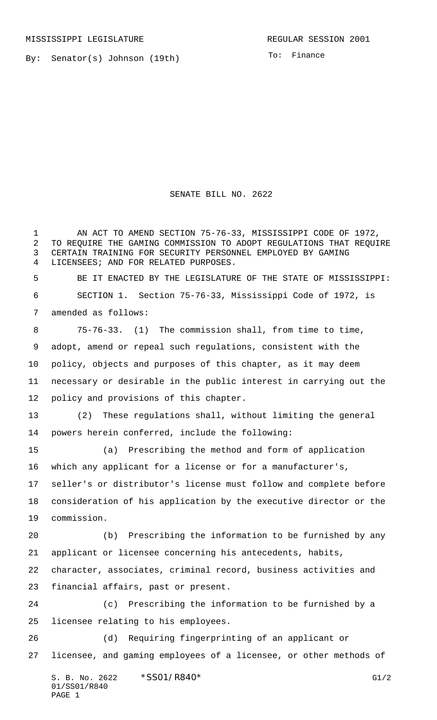By: Senator(s) Johnson (19th)

To: Finance

SENATE BILL NO. 2622

 AN ACT TO AMEND SECTION 75-76-33, MISSISSIPPI CODE OF 1972, TO REQUIRE THE GAMING COMMISSION TO ADOPT REGULATIONS THAT REQUIRE CERTAIN TRAINING FOR SECURITY PERSONNEL EMPLOYED BY GAMING LICENSEES; AND FOR RELATED PURPOSES.

 BE IT ENACTED BY THE LEGISLATURE OF THE STATE OF MISSISSIPPI: SECTION 1. Section 75-76-33, Mississippi Code of 1972, is amended as follows:

 75-76-33. (1) The commission shall, from time to time, adopt, amend or repeal such regulations, consistent with the policy, objects and purposes of this chapter, as it may deem necessary or desirable in the public interest in carrying out the policy and provisions of this chapter.

 (2) These regulations shall, without limiting the general powers herein conferred, include the following:

 (a) Prescribing the method and form of application which any applicant for a license or for a manufacturer's, seller's or distributor's license must follow and complete before consideration of his application by the executive director or the commission.

 (b) Prescribing the information to be furnished by any applicant or licensee concerning his antecedents, habits,

 character, associates, criminal record, business activities and financial affairs, past or present.

 (c) Prescribing the information to be furnished by a licensee relating to his employees.

 (d) Requiring fingerprinting of an applicant or licensee, and gaming employees of a licensee, or other methods of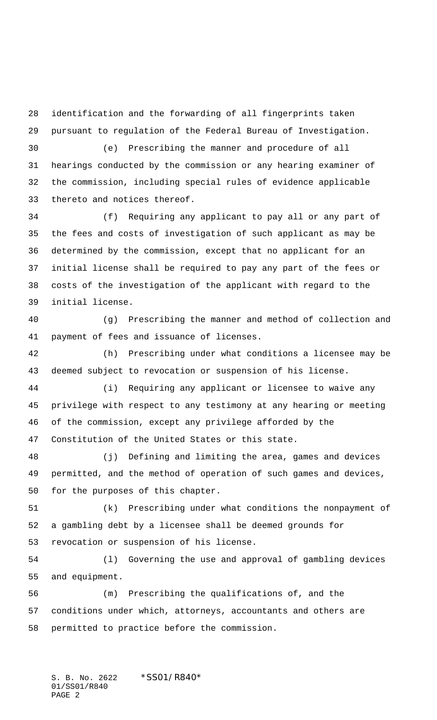identification and the forwarding of all fingerprints taken pursuant to regulation of the Federal Bureau of Investigation.

 (e) Prescribing the manner and procedure of all hearings conducted by the commission or any hearing examiner of the commission, including special rules of evidence applicable thereto and notices thereof.

 (f) Requiring any applicant to pay all or any part of the fees and costs of investigation of such applicant as may be determined by the commission, except that no applicant for an initial license shall be required to pay any part of the fees or costs of the investigation of the applicant with regard to the initial license.

 (g) Prescribing the manner and method of collection and payment of fees and issuance of licenses.

 (h) Prescribing under what conditions a licensee may be deemed subject to revocation or suspension of his license.

 (i) Requiring any applicant or licensee to waive any privilege with respect to any testimony at any hearing or meeting of the commission, except any privilege afforded by the Constitution of the United States or this state.

 (j) Defining and limiting the area, games and devices permitted, and the method of operation of such games and devices, for the purposes of this chapter.

 (k) Prescribing under what conditions the nonpayment of a gambling debt by a licensee shall be deemed grounds for revocation or suspension of his license.

 (l) Governing the use and approval of gambling devices and equipment.

 (m) Prescribing the qualifications of, and the conditions under which, attorneys, accountants and others are permitted to practice before the commission.

S. B. No. 2622 \* SS01/R840\* 01/SS01/R840 PAGE 2